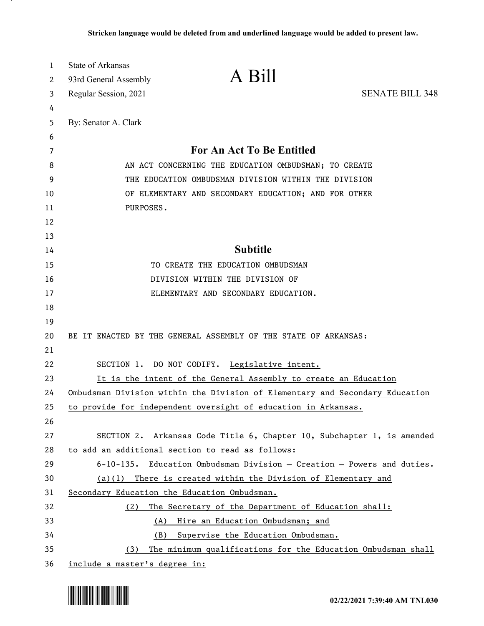| 1        | <b>State of Arkansas</b>                                                     |                                                                        |                        |
|----------|------------------------------------------------------------------------------|------------------------------------------------------------------------|------------------------|
| 2        | 93rd General Assembly                                                        | A Bill                                                                 |                        |
| 3        | Regular Session, 2021                                                        |                                                                        | <b>SENATE BILL 348</b> |
| 4        |                                                                              |                                                                        |                        |
| 5        | By: Senator A. Clark                                                         |                                                                        |                        |
| 6        |                                                                              |                                                                        |                        |
| 7        | For An Act To Be Entitled                                                    |                                                                        |                        |
| 8        | AN ACT CONCERNING THE EDUCATION OMBUDSMAN; TO CREATE                         |                                                                        |                        |
| 9        | THE EDUCATION OMBUDSMAN DIVISION WITHIN THE DIVISION                         |                                                                        |                        |
| 10       | OF ELEMENTARY AND SECONDARY EDUCATION; AND FOR OTHER                         |                                                                        |                        |
| 11       | PURPOSES.                                                                    |                                                                        |                        |
| 12       |                                                                              |                                                                        |                        |
| 13<br>14 |                                                                              | <b>Subtitle</b>                                                        |                        |
| 15       | TO CREATE THE EDUCATION OMBUDSMAN                                            |                                                                        |                        |
| 16       | DIVISION WITHIN THE DIVISION OF                                              |                                                                        |                        |
| 17       | ELEMENTARY AND SECONDARY EDUCATION.                                          |                                                                        |                        |
| 18       |                                                                              |                                                                        |                        |
| 19       |                                                                              |                                                                        |                        |
| 20       | BE IT ENACTED BY THE GENERAL ASSEMBLY OF THE STATE OF ARKANSAS:              |                                                                        |                        |
| 21       |                                                                              |                                                                        |                        |
| 22       |                                                                              | SECTION 1. DO NOT CODIFY. Legislative intent.                          |                        |
| 23       | It is the intent of the General Assembly to create an Education              |                                                                        |                        |
| 24       | Ombudsman Division within the Division of Elementary and Secondary Education |                                                                        |                        |
| 25       |                                                                              | to provide for independent oversight of education in Arkansas.         |                        |
| 26       |                                                                              |                                                                        |                        |
| 27       |                                                                              | SECTION 2. Arkansas Code Title 6, Chapter 10, Subchapter 1, is amended |                        |
| 28       | to add an additional section to read as follows:                             |                                                                        |                        |
| 29       |                                                                              | 6-10-135. Education Ombudsman Division - Creation - Powers and duties. |                        |
| 30       | $(a)(1)$ There is created within the Division of Elementary and              |                                                                        |                        |
| 31       | Secondary Education the Education Ombudsman.                                 |                                                                        |                        |
| 32       | (2)                                                                          | The Secretary of the Department of Education shall:                    |                        |
| 33       | (A)                                                                          | Hire an Education Ombudsman; and                                       |                        |
| 34       |                                                                              | (B) Supervise the Education Ombudsman.                                 |                        |
| 35       | The minimum qualifications for the Education Ombudsman shall<br>(3)          |                                                                        |                        |
| 36       | include a master's degree in:                                                |                                                                        |                        |